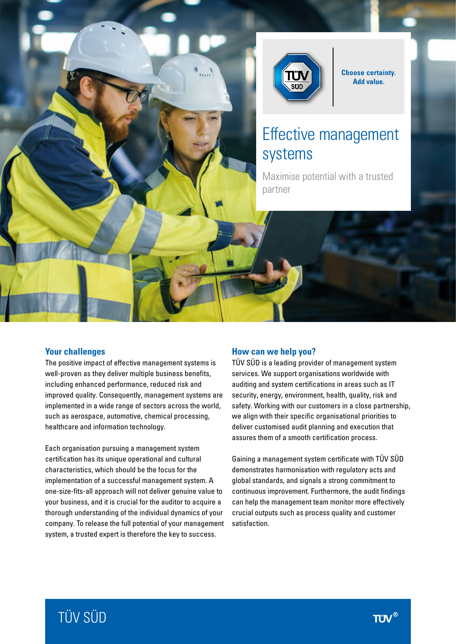



**Choose certainty. Choose certainty. Add value. Add value.**

# Effective management systems

Maximise potential with a trusted partner

### **Your challenges**

The positive impact of effective management systems is well-proven as they deliver multiple business benefits, including enhanced performance, reduced risk and improved quality. Consequently, management systems are implemented in a wide range of sectors across the world, such as aerospace, automotive, chemical processing, healthcare and information technology.

Each organisation pursuing a management system certification has its unique operational and cultural characteristics, which should be the focus for the implementation of a successful management system. A one-size-fits-all approach will not deliver genuine value to your business, and it is crucial for the auditor to acquire a thorough understanding of the individual dynamics of your company. To release the full potential of your management system, a trusted expert is therefore the key to success.

#### **How can we help you?**

TÜV SÜD is a leading provider of management system services. We support organisations worldwide with auditing and system certifications in areas such as IT security, energy, environment, health, quality, risk and safety. Working with our customers in a close partnership, we align with their specific organisational priorities to deliver customised audit planning and execution that assures them of a smooth certification process.

Gaining a management system certificate with TÜV SÜD demonstrates harmonisation with regulatory acts and global standards, and signals a strong commitment to continuous improvement. Furthermore, the audit findings can help the management team monitor more effectively crucial outputs such as process quality and customer satisfaction.

# TÜV SÜD